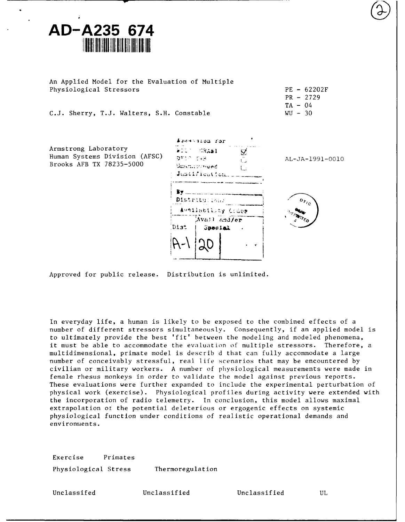# **AD-A235 674**

An Applied Model for the Evaluation of Multiple Physiological Stressors **PE** - 62202F

C.J. Sherry, T.J. Walters, S.H. Constable WU - 30

Armstrong Laboratory Brooks AFB TX 78235-5000 University of



PR - 2729  $TA - 04$ 



Approved for public release. Distribution is unlimited.

In everyday life, a human is likely to be exposed to the combined effects of a number of different stressors simultaneously. Consequently, if an applied model is to ultimately provide the best 'fit' between the modeling and modeled phenomena, it must be able to accommodate the evaluation of multiple stressors. Therefore, a multidimensional, primate model is describ d that can fully accommodate a large number of conceivably stressful, real life scenarios that may be encountered by civilian or military workers. A number of physiological measurements were made in female rhesus monkeys in order to validate the model against previous reports. These evaluations were further expanded to include the experimental perturbation of physical work (exercise). Physiological profiles during activity were extended with the incorporation of radio telemetry. In conclusion, this model allows maximal extrapolation ot the potential deleterious or ergogenic effects on systemic physiological function under conditions of realistic operational demands and environments.

Exercise Primates Physiological Stress Thermoregulation

Unclassifed Unclassified Unclassified UL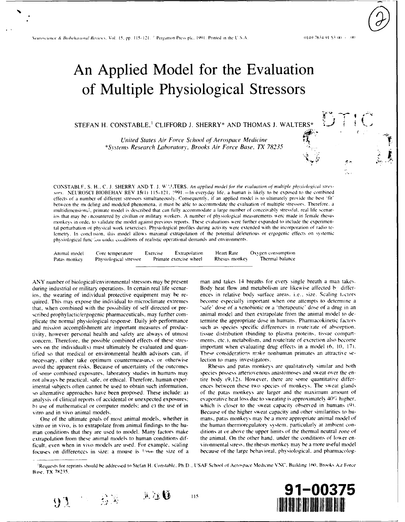Neuroscience & Biobehavioral Reviews, Vol. 15, pp. 115-121. <sup>2</sup> Pergamon Press plc, 1991. Printed in the U.S.A.

0149-7634 91-53 00 - 100

## An Applied Model for the Evaluation of Multiple Physiological Stressors

## STEFAN H. CONSTABLE,<sup>1</sup> CLIFFORD J. SHERRY\* AND THOMAS J. WALTERS<sup>3</sup>

United States Air Force School of Aerospace Medicine \*Systems Research Laboratory, Brooks Air Force Base, TX 78235

CONSTABLE, S. H., C. J. SHERRY AND T. J. W'ALTERS. An applied model for the evaluation of multiple physiological stressors. NEUROSCI BIOBEHAV REV 15(1) 115-121, 1991. - In everyday life, a human is likely to be exposed to the combined effects of a number of different stressors simultaneously. Consequently, if an applied model is to ultimately provide the best 'fit' between the mcdeling and modeled phenomena, it must be able to accommodate the evaluation of multiple stressors. Therefore, a multidimensional, primate model is described that can fully accommodate a large number of conceivably stressful, real life scenarios that may be encountered by civilian or military workers. A number of physiological measurements were made in female rhesus monkeys in orde, to validate the model against previous reports. These evaluations were further expanded to include the experimental perturbation of physical work (exercise). Physiological profiles during activity were extended with the incorporation of radio telemetry. In conclusion, this model allows maximal extrapolation of the potential deleterious or ergogenic effects on systemic physiological function under conditions of realistic operational demands and environments.

Animal model Core temperature Exercise Extrapolation Heart Rate Oxygen consumption Primate exercise wheel Rhesus monkey Thermal balance Patas monkey Physiological stressor

ANY number of biological/environmental stressors may be present during industrial or military operations. In certain real life scenarios, the wearing of individual protective equipment may be required. This may expose the individual to microclimate extremes that, when combined with the possibility of self directed or prescribed prophylactic/ergogenic pharmaceuticals, may further complicate the normal physiological response. Daily job performance and mission accomplishment are important measures of productivity, however personal health and safety are always of utmost concern. Therefore, the possible combined effects of these stressors on the individual(s) must ultimately be evaluated and quantified so that medical or environmental health advisors can, if necessary, either take optimum countermeasures or otherwise avoid the apparent risks. Because of uncertainty of the outcomes of some combined exposures, laboratory studies in humans may not always be practical, safe, or ethical. Therefore, human experimental subjects often cannot be used to obtain such information, so alternative approaches have been proposed. These include: a) analysis of clinical reports of accidental or unexpected exposures; b) use of mathematical or computer models; and c) the use of in vitro and in vivo animal models.

One of the ultimate goals of most animal models, whether in vitro or in vivo, is to extrapolate from animal findings to the human conditions that they are used to model. Many factors make extrapolation from these animal models to human conditions difficult, even when in vivo models are used. For example, scaling focuses on differences in size: a mouse is 1/3500 the size of a

man and takes 14 breaths for every single breath a man takes. Body heat flow and metabolism are likewise affected by differences in relative body surface areas. i.e., size. Scaling factors become especially important when one attempts to determine a 'safe' dose of a xenobiotic or a 'therapeutic' dose of a drug in an animal model and then extrapolate from the animal model to determine the appropriate dose in humans. Pharmacokinetic factors such as species specific differences in route/rate of absorption. tissue distribution (binding to plasma proteins, tissue compartments, etc.), metabolism, and route/rate of excretion also become important when evaluating drug effects in a model (6, 10, 17). These considerations make nonhuman primates an attractive selection to many investigators.

Rhesus and patas monkeys are qualitatively similar and both species possess arteriovenous anastomoses and sweat over the entire body (9.12). However, there are some quantitative differences between these two species of monkeys. The sweat glands of the patas monkeys are larger and the maximum amount of evaporative heat loss due to sweating is approximately 40G higher. which is closer to the sweat capacity observed in humans (9). Because of the higher sweat capacity and other similarities to humans, patas monkeys may be a more appropriate animal model of the human thermoregulatory system, particularly at ambient conditions at or above the upper limits of the thermal neutral zone of the animal. On the other hand, under the conditions of lower environmental siress, the rhesus monkey may be a more useful model because of the large behavioral, physiological, and pharmacolog-

115

 $\mathbb{R} \times \mathbb{C}$ 



Requests for reprints should be addressed to Stefan H. Constable, Ph.D., USAF School of Aerospace Medicine/VNC, Building 160, Brooks Air Force Base, TX 78235.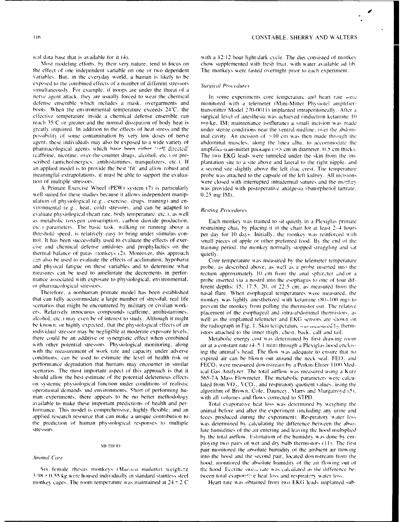I

the effect of one independent variable on one or two dependent The monkeys were fasted overnight prior to each experiment. variables. But, in the everyday world, a human is likely to be exposed to the combined effects of a number of different stressors Surgical Procedures simultaneously. For example, if troops are under the threat of a nerve agent attack, they are usually forced to wear the chemical In some experiments core temperature and heart rate were defense ensemble which includes a mask, overgarments and monitored with a telemeter (Mini-Mitter Physiotel amplifierboots. When the environmental temperature exceeds 24°C, the transmitter Model 270-0011) implanted intraperitoneally. After a effective temperature inside a chemical defense ensemble can surgical level of anesthesia was achieved (induction ketamine **I)** reach 35<sup>-</sup>C or greater and the normal dissipation of body heat is mg/kg, IM: maintenance isoflurane) a small incision was made greatly impaired. In addition to the effects of heat stress and the under sterile conditions near the ventral midline, over the abdompossibility of some contamination by very low doses of nerve inal cavity. An incision of  $\approx 10$  cm was then made through the agent, these individuals may also be exposed to a wide variety of abdominal muscles, along the linea alba. to accommodate the pharmacological agents which have been either 'self directed' amplifier-transmitter package (\*) cm in diameter, 0.5 cm thick). (caffeine. nicotine, over-the-counter drugs. alcohol. etc.) or pre- The two EKG leads were tunneled under the skin from the irnscribed (anticholinergics, antihistamines, tranquilizers, etc.). If plantation site to a site above and lateral to the right nipple, and an applied model is to provide the best 'fit' and allow robust and a second site slightly above the left iliac crest. The temperature meaningful extrapolations, it must be able to support the evalua-probe was attached to the capsule of the left kidney. All incisions

well suited for these studies because it allows independent manip- $= 0.25$  mg IM). ulation of physiological (e.g., exercise, drugs. training) and environmental (e.g., heat. cold) stressors, and can be adapted to  $Resting$  Procedures. evaluate physiological theart rate. body temperature. etc. ). as well as metabolic toxygen consumption, carbon dioxide production. Each monkey was trained to sit quietly in a Plexiglas primate etc.) parameters. The basic task. walking or running above a restraining chai, by placing it in the chair for at least  $2\rightarrow 1$  hours threshold speed, is relatively easy to bring under stimulus con- per day for 10 days. Initially, the monkey was reinforced with trol. It has been successfully used to evaluate the effects of exer-<br>small pieces of apple or other preferred food. By the end of the cise and chemical defense antidotes and prophylactics on the training period, the tionkey normally stopped struggling and sat thermal balance of patas monkeys (2). Moreover, this approach quietly. **Complete the effects** of acclimation, hypobaria Core temperature was measured by the telemeter temperature and physical fatigue on these variables and to determine what probe, as described above, as well as a probe inserted into the measures can be used to ameliorate the decrements in perfor- rectum approximately **10** cm fioma the anal sphirnter nd or a mance associated with exposure to physiological, environmental, probe inserted via a nostril into the esophagus to one of four dif-

that can fully accommodate a large number of stressful, real life monkey \kas lightlv anesthetized \\ith ketamine **(80-100** rgi) to scenarios that might be encountered by military or civilian work- prevent the monkey from pulling the thermistor out. The relative ers. Relatively innocuous compounds (caffeine. antihistamines, placement of the esophageal and intra-abdoninal theniistors. as alcohol, etc.) may even be of interest to study. Although it might well as the implanted telemeter and EKG sensors are shown on be known, or highly expected, that the physiological effects of an the radiograph in Fig. 1. Skin temperature *was measured* by thermindividual stressor may be negligible at moderate exposure levels. istors attached to the inner thigh, chest, back, calf and tail there could he an additive or synergistic effect when combined Metabolic enerev cost **\kas** determined **b** first drav ing room with other potential stressors. Physiological monitoring, along air at a constant rate (4-5 1/min) through a Plexiglas hood encloswith the measurement of work rate and capacity under adverse ing the animal's head. The flow was adequate to ensure that no conditions, can **he** used to estimate the level of health risk or expired air can **he** blow'n out around the neck seal. FEO. and performance degradation that humans may encounter in similar FECO, were measured downstream by a Perkin-Elmer 1100 Medscenarios. The most important aspect of this approach is that it ical Gas Analyzer. The total airflow was measured using a Kurz should allow the best estimate of the potential deleterious effects 565-7A Mass Flowmeter. The metabolic parameters were calcuon systemic physiological function under conditions of realistic lated from **VO.** VCO.. and respiralor\ quotient \alues. using the operational demands and environments. Short of performing hu- algorithm of Brown, Cole. Dauncey. Marrs and Murgatrovd (5), man experiments, there appears to be no better methodology with all volumes and flows corrected to STPD. axailable to make these important predictions of health and per- Total e\aporati\e heat loss was determined **b\** weighing the formance. This model is comprehensive, highly flexible, and an animal before and after the experiment (including any urine and applied research resource that can make a unique contribution to feces produced during the experiment). Respiratory water loss the prediction of human physiological responses to multiple was determined by calculating the difference between the abso-

3.98 ± 0.55 kg were housed individually in standard stainless steel tween total evaporative heat loss and respiratory water loss. monkey cages. The room temperature was maintained at 24  $\pm$  2 C Heart rate was obtained from two EKG leads implanted sub-

ical data base that is available for it (4). *'* ith a 12:12 hour light:dark cycle. The diet consisted of monke, Most modeling efforts, by their very nature, tend to focus on chow supplemented with fresh fruit, with water available ad lib.

tion of multiple stressors. The stress of the monkey stress and the monkey with interrupted intradermal sutures and the monkey A Primate Exercise Wheel (PEW) system (7) is particularly was provided with postoperative analgesia (butorphenol tartrate.

or pharmacological stressors. ferent depths: 15. 17.5. 20. or 22.5 cm. as measured from the Therefore, a nonhuman primate model has been established nasal flare. When esophageal temperatures were measured, the

stressors, and the stressors, the air entering and leaving the hood multiplied by the total airflow. Estimation of the humidity was done by em-**111. 111. 111. 111. 111. 111. 111. 111. 111. 111. 111. 111. 111. 111. 111. 111. 111. 111. 111. 111. 111. 111. 111. 111. 111. 111. 111. 111. 111. 111. 111. 111.** pair monitored the ansolute humidity of the ambient air tlowing Animal Care into the hood and the second pair, located downstream from the second pair. hood. monitored the absolute hunidit\ **of** the air flow ing out of Six female rhesus monkeys (Macaca mulatta) weighing the hood. Eccrine swell rate was calculated as the difference be-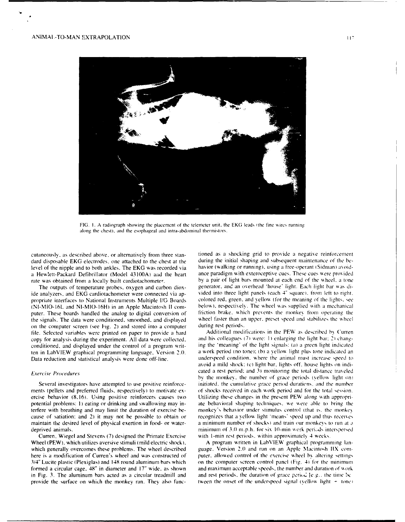

FIG. 1. A radiograph showing the placement of the telemeter unit, the EKG leads (the fine wires running along the chest), and the esophageal and intra-abdominal thermistors.

dard disposable EKG electrodes, one attached to the chest at the during the initial shaping and subsequent maintenance of the belevel of the nipple and to both ankles. The EKG was recorded via havior (walking or running), using a free-operant (Sidman) avoid-<br>a Hewlett-Packard Defibrillator (Model 43100A) and the heart ance paradigm with exterocepti a Hewlett-Packard Defibrillator (Model 43100A) and the heart rate was obtained from a locally built cardiotachometer. **by a pair of light bars mounted at each end of the wheel.** a tone

ide analyzers, and EKG cardiotachometer were connected via ap-<br>propriate interfaces to National Instruments Multiple I/G Boards colored red, green, and vellow (for the meaning of the lights, see propriate interfaces to National Instruments Multiple **I/G** Boards colored red. green. and yellow (for the meaning of the lights, see  $(NI-MIO-16L$  and  $NI-MIO-16H$ ) in an Apple Macintosh II computer. These boards handled the analog to digital conversion of friction brake, which prevents the monkey from operating the the signals. The data were conditioned, smoothed, and displayed wheel faster than an upper, prese the signals. The data were conditioned, smoothed, and displayed wheel faster than an upper. present speed and stabilizes than an upper. preset speed and stabilizes the wheel faster than an upper. preset speed and stabilize on the computer screen (see Fig. 2) and stored into a computer during rest periods.<br>File, Selected variables were printed on paper to provide a hard and Additional modifications in the PEW as described by Curren file. Selected variables were printed on paper to provide a hard conditioned, and displayed under the control of a program writ-

ments (pellets and preferred fluids. respectively) to motivate ex- of shocks received in each work period and for the total session. terfere with breathing and may limit the duration of exercise be- monkey's behavior under stimulus control (that is, the monkey

Wheel (PEW), which utilizes aversive stimuli (mild electric shock). A program written in LabVIEW graphical programming lanin Fig. 3. The aluminum bars acted as a circular treadmill and and rest periods, the duration of grace period  $[e.g., the time be$ 

cutaneously. as described above, or alternatively from three stan- tioned as a shocking grid to provide a negative reinforcement The outputs of temperature probes, oxygen and carbon diox- generator, and an overhead 'house' light. Each light bar was di-

copy for analysis during the experiment. All data were collected, and his colleagues (7) were: 1) enlarging the light bar; 2) chang-<br>conditioned, and displayed under the control of a program writ- ing the 'meaning' of the ten in LabVIEW graphical programming language. Version 2.0. a work period (no tone): **(b)** a yellow light plus tone indicated an Data reduction and statistical analysis were done off-line. underspeed condition, where the animal must increase speed to avoid a mild shock: (c) light bar. lights off, house lights on indi-*Exercise Procedures* cated a rest period: and 3) monitoring the total distance traveled by the monkey, the number of grace periods (yellow light on) Several investigators have attempted to use positive reinforce- initiated, the cumulative grace period durations, and the number ercise behavior (8,16). Using positive reinforcers causes two Utilizing these changes in the present PEW along with appropripotential problems: **I)** eating or drinking and swallowing may in- ate behavioral shaping techniques. **we** were able to bring the cause of satiation: and 2) it may not be possible to obtain or recognizes that a yellow light 'means' speed up and thus receives maintain the desired level of physical exertion in food- or water- a minimum number of shocks) and train our tnonkevs to run at **o** deprived animals. The minimum of 3.0 m.p.h. for six 10-min work periods interspersed Curren. Wiegel and Stevens (7) designed the Primate Exercise with 1-min rest periods, within approximately 4 weeks.

which generally overcomes these problems. The wheel described guage. Version 2.0 and run on an Apple Macintosh IIX comhere is a modification of Curren's wheel and was constructed of puter, allowed control of the exercise wheel by altering settings 3/4" Lucite plastic (Plexiglas) and 148 round aluminum bars which on the computer screen control panel (Fig. 4) for the minimum formed a circular cage, 48" in diameter and 17" wide, as shown and maximum acceptable speeds, the number and duration of work provide the surface on which the monkey ran. They also func- tween the onset of the underspeed signal (yellow light  $+$  tone)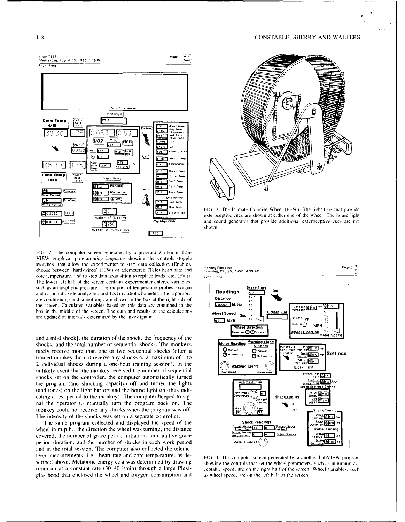118

## **CONSTABLE, SHERRY AND WALTERS**



FIG. 2. The computer screen generated by a program written in Lab-VIEW graphical programming language showing the controls (toggle switches) that allow the experimenter to start data collection (Enable). choose between 'hard-wired' (H/W) or telemetered (Tele) heart rate and core temperature, and to stop data acquisition to replace leads, etc. (Halt). The lower left half of the screen contains experimenter entered variables, such as atmospheric pressure. The outputs of temperature probes, oxygen and carbon dioxide analyzers, and EKG cardiotachometer, after appropriate conditioning and smoothing, are shown in the box at the right side of the screen. Calculated variables based on this data are contained in the box in the middle of the screen. The data and results of the calculations are updated at intervals determined by the investigator.

and a mild shock], the duration of the shock, the frequency of the shocks, and the total number of sequential shocks. The monkeys rarely receive more than one or two sequential shocks (often a trained monkey did not receive any shocks or a maximum of 1 to 2 individual shocks during a one-hour training session). In the unlikely event that the monkey received the number of sequential shocks set on the controller, the computer automatically turned the program (and shocking capacity) off and turned the lights (and tones) on the light bar off and the house light on (thus indicating a rest period to the monkey). The computer beeped to signal the operator to manually turn the program back on. The monkey could not receive any shocks when the program was off. The intensity of the shocks was set on a separate controller.

The same program collected and displayed the speed of the wheel in m.p.h., the direction the wheel was turning, the distance covered, the number of grace period initiations, cumulative grace period duration, and the number of shocks in each work period and in the total session. The computer also collected the telemetered measurements, i.e., heart rate and core temperature, as described above. Metabolic energy cost was determined by drawing room air at a constant rate (30-40 l/min) through a large Plexiglas hood that enclosed the wheel and oxygen consumption and



FIG. 3. The Primate Exercise Wheel (PEW). The light bars that provide exteroceptive cues are shown at either end of the wheel. The house light and sound generator that provide additional exteroceptive cues are not shown.



FIG. 4. The computer screen generated by a another LabVIEW program showing the controls that set the wheel parameters, such as minimum acceptable speed, are on the right half of the screen. Wheel variables, such as wheel speed, are on the left half of the screen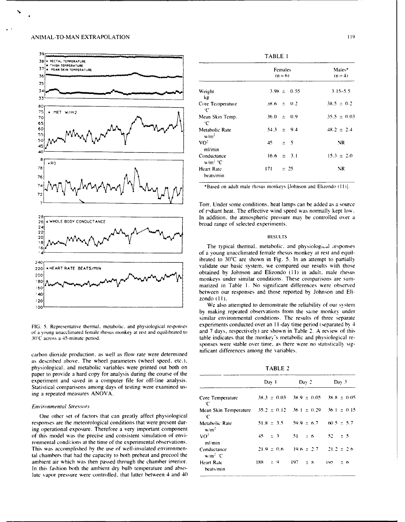## ANIMAL-TO-MAN EXTRAPOLATION **<sup>119</sup>**



carbon dioxide production, as well as flow rate were determined nificant differences among the variables. as described above. The wheel parameters (wheel speed, etc.), physiological, and metabolic variables were printed out both on TABLE 2 paper to provide a hard copy for analysis during the course of the experiment and saved in a computer file for off-line analysis. Statistical comparisons among days of testing were examined using a repeated measures ANOVA.

### **Environmental Stressors**

One other set of factors that can greatly affect physiological responses are the meteorological conditions that were present during operational exposure. Therefore a very important component of this model was the precise and consistent simulation of environmental conditions at the time of the experimental observations. This was accomplished by the use of well-insulated environmental chambers that had the capacity to both preheat and precool the ambient air which was then passed through the chamber interior. In this fashion both the ambient dry bulb temperature and absolute vapor pressure were controlled, that latter between 4 and 40

| A RECTAL TEMPERATURE<br><b>II THIGH TEMPERATURE</b><br>. MEAN SKIN TEMPERATURE |                                    | Females<br>$(n = 6)$          | Males*<br>$(n = 4)$ |
|--------------------------------------------------------------------------------|------------------------------------|-------------------------------|---------------------|
|                                                                                |                                    |                               |                     |
|                                                                                | Weight<br>kg                       | $3.98 \pm 0.55$               | $3.15 - 5.5$        |
| $\blacktriangle$ MET W/m2                                                      | Core Temperature<br>÷С             | $38.6 \pm 0.2$                | $38.5 \pm 0.2$      |
|                                                                                | Mean Skin Temp.<br>$^{\circ}C$     | $36.0 \pm 0.9$                | $35.5 \pm 0.03$     |
| My                                                                             | Metabolic Rate<br>w/m <sup>2</sup> | $\pm$ 9.4<br>54.3             | $48.2 \pm 2.4$      |
| m                                                                              | VO <sup>2</sup><br>ml/min          | 45<br>$\overline{5}$<br>$\pm$ | NR                  |
| APQ                                                                            | Conductance<br>$w/m^2$ °C          | $\pm$ 3.1<br>16.6             | $15.3 \pm 2.0$      |
| $\bullet$ .<br>$\sim$                                                          | Heart Rate<br>beats/min            | $\pm$ 25<br>171               | NR                  |

Torr. Under some conditions, heat lamps can be added as a source of rdiant heat. The effective wind speed was normally kept low. 28<br>26| WHOLE BODY CONDUCTANCE<br>
Lungd grape of colorad grapes of colorad grapes in additional and controlled over a

by making repeated observations from the same monkey under similar environmental conditions. The results of three separate FIG. 5. Representative thermal, metabolic, and physiological responses experiments conducted over an 11-day time period (separated by 4 of a young unacclimated female rhesus monkey at rest and equilibrated to and 7 days, respectively) are shown in Table 2. A review of this 30°C across a 45-minute period. <br>And 1 days, respectively) are shown in Table 2. A r table indicates that the monkey's metabolic and physiological responses were stable over time, as there were no statistically sig-

|                             | Dav 1                                            | Dav <sub>2</sub>                                | $_{\text{Dav}}$ 3 |
|-----------------------------|--------------------------------------------------|-------------------------------------------------|-------------------|
| Core Temperature<br>℃       |                                                  | $38.3 \pm 0.03$ $38.9 \pm 0.05$ $38.8 \pm 0.05$ |                   |
| Mean Skin Temperature<br>÷С | $-35.2 \pm 0.12 - 36.1 \pm 0.29 - 36.1 \pm 0.15$ |                                                 |                   |
| Metabolic Rate<br>$w/m^2$   |                                                  | $51.8 \pm 3.5$ $59.9 \pm 6.7$ $60.5 \pm 5.7$    |                   |
| vo <sup>2</sup><br>ml/min   | $45 \pm 3$                                       | $51 - 56$                                       | $52 \pm 5$        |
| Conductance<br>$w/m^2$ C    | $21.9 \pm 0.6$                                   | $19.6 \pm 2.7$ $21.2 \pm 2.6$                   |                   |
| Heart Rate<br>beats/min     | 188 - 9                                          | $197 - 18$                                      | $195 - 50$        |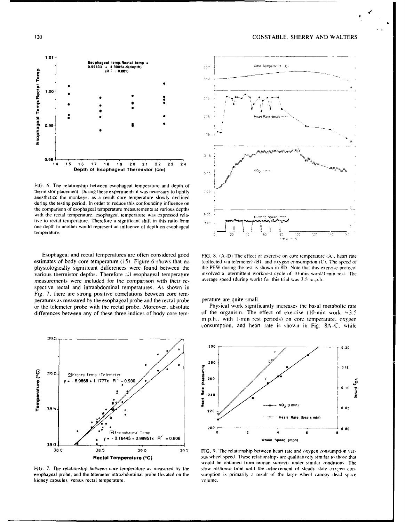## 120 CONSI **ABLE,** SHERRY AND WALTERS



FIG. 6. The relationship between esophageal temperature and depth of thermistor placement. During these experiments it was necessary to lightly  $\sim$  2.5 anesthetize the monkeys, as a result core temperature slowly declined during the testing period. In order to reduce this confounding influence on the comparison of esophageal temperature measurements at various depths with the rectal temperature, esophageal temperature was expressed rela-  $\frac{6.23}{2}$ tive to rectal temperature. Therefore a significant shift in this ratio from  $\frac{1}{2}$ one depth to another would represent an influence of depth on esophageal temperature. 2 *20* **-0** 5 . • .

Esophageal and rectal temperatures are often considered good FIG. 8. (A--D) The effect of exercise on core temperature **(A).** heart rate various thermistor depths. Therefore all esophageal temperature involved a intermittent work/rest cycle of 10-min word/<br>I-measurements were included for the comparison with their re-<br>average speed (during work) for this tr measurements were included for the comparison with their respective rectal and intraabdominal temperatures. As shown in Fig. 7. there are strong positive correlations between core temperatures as measured by the esophageal probe and the rectal probe perature are quite small. or the telemeter probe with the rectal probe. Moreover. absolute Physical work significantly increases the basal metabolic rate



kidney capsule). versus rectal temperature. volume.



estimates of body core temperature (15). Figure 6 shows that no (collected via telemeter) (B). and oxygen consumption **(C).** The speed of physiologically significant differences were found between the the PEW during the test is shown in **8D.** Note that this exercise protocol

differences between any of these three indices of body core tem-<br>of the organism. The effect of exercise (10-min work  $\approx 3.5$ ) m.p.h.. with 1-min rest periods) on core temperature. oxygen consumption. and heart rate is shown in Fig. 8A-C. while



**Rectal Temperature (°C)** sus wheel speed. These relationships are qualitatively similar to those that would be obtained from human subjects under similar conditions. The FIG. 7. The relationship between core temperature as measured by the slow response time until the achievement of steady state oxygen conesophageal probe, and the telemeter intraabdominal probe (located on the sumption is primarily a result of the large wheel canopy dead space